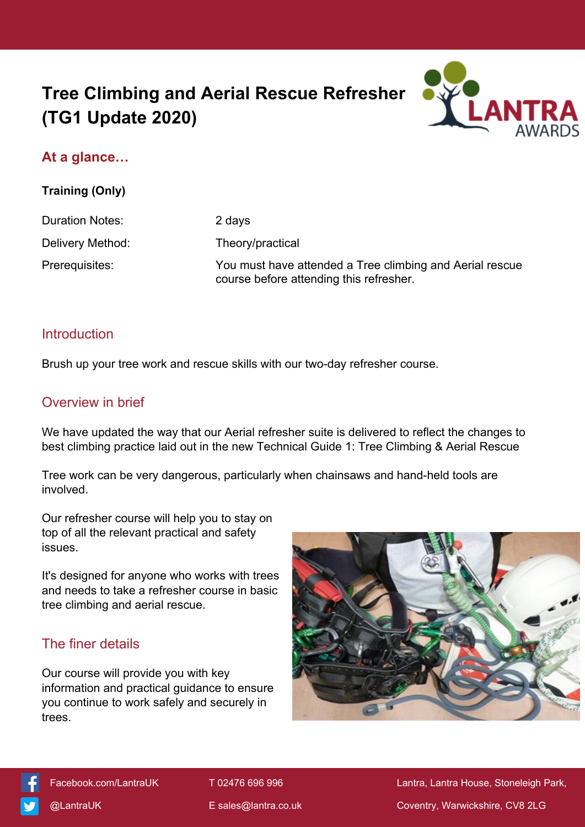# **Tree Climbing and Aerial Rescue Refresher (TG1 Update 2020)**



# **At a glance…**

**Training (Only)**

Duration Notes: 2 days

Delivery Method: Theory/practical Prerequisites: You must have attended a Tree climbing and Aerial rescue course before attending this refresher.

#### Introduction

Brush up your tree work and rescue skills with our two-day refresher course.

#### Overview in brief

We have updated the way that our Aerial refresher suite is delivered to reflect the changes to best climbing practice laid out in the new Technical Guide 1: Tree Climbing & Aerial Rescue

Tree work can be very dangerous, particularly when chainsaws and hand-held tools are involved.

Our refresher course will help you to stay on top of all the relevant practical and safety issues.

It's designed for anyone who works with trees and needs to take a refresher course in basic tree climbing and aerial rescue.

# The finer details

Our course will provide you with key information and practical guidance to ensure you continue to work safely and securely in trees.





 [Facebook.com/LantraUK](https://www.facebook.com/LantraUK/) T 02476 696 996 Lantra, Lantra House, Stoneleigh Park, [@LantraUK](http://www.twitter.com/lantrauk) E [sales@lantra.co.uk](mailto:sales@lantra.co.uk) Coventry, Warwickshire, CV8 2LG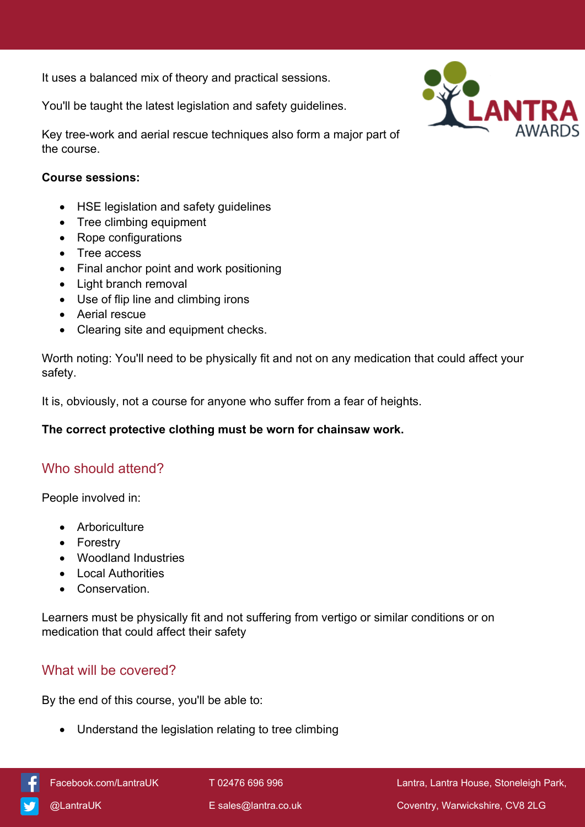It uses a balanced mix of theory and practical sessions.

You'll be taught the latest legislation and safety guidelines.



Key tree-work and aerial rescue techniques also form a major part of the course.

#### **Course sessions:**

- HSE legislation and safety guidelines
- Tree climbing equipment
- Rope configurations
- Tree access
- Final anchor point and work positioning
- Light branch removal
- Use of flip line and climbing irons
- Aerial rescue
- Clearing site and equipment checks.

Worth noting: You'll need to be physically fit and not on any medication that could affect your safety.

It is, obviously, not a course for anyone who suffer from a fear of heights.

#### **The correct protective clothing must be worn for chainsaw work.**

# Who should attend?

People involved in:

- Arboriculture
- Forestrv
- Woodland Industries
- Local Authorities
- **•** Conservation

Learners must be physically fit and not suffering from vertigo or similar conditions or on medication that could affect their safety

# What will be covered?

By the end of this course, you'll be able to:

Understand the legislation relating to tree climbing



[Facebook.com/LantraUK](https://www.facebook.com/LantraUK/) T 02476 696 996 Lantra, Lantra, Lantra House, Stoneleigh Park, [@LantraUK](http://www.twitter.com/lantrauk) E [sales@lantra.co.uk](mailto:sales@lantra.co.uk) Coventry, Warwickshire, CV8 2LG